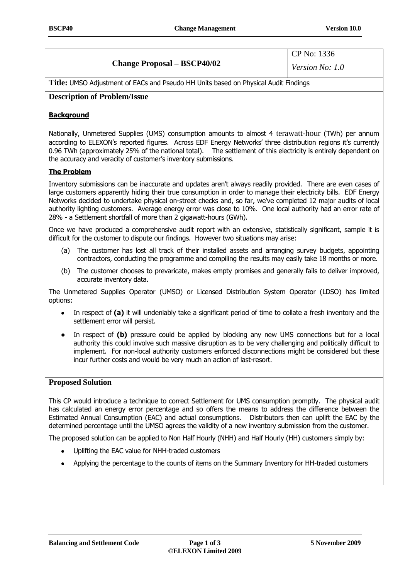# **Change Proposal – BSCP40/02**

CP No: 1336 *Version No: 1.0*

**Title:** UMSO Adjustment of EACs and Pseudo HH Units based on Physical Audit Findings

## **Description of Problem/Issue**

## **Background**

Nationally, Unmetered Supplies (UMS) consumption amounts to almost 4 terawatt-hour (TWh) per annum according to ELEXON's reported figures. Across EDF Energy Networks' three distribution regions it's currently 0.96 TWh (approximately 25% of the national total). The settlement of this electricity is entirely dependent on the accuracy and veracity of customer's inventory submissions.

#### **The Problem**

Inventory submissions can be inaccurate and updates aren't always readily provided. There are even cases of large customers apparently hiding their true consumption in order to manage their electricity bills. EDF Energy Networks decided to undertake physical on-street checks and, so far, we've completed 12 major audits of local authority lighting customers. Average energy error was close to 10%. One local authority had an error rate of 28% - a Settlement shortfall of more than 2 gigawatt-hours (GWh).

Once we have produced a comprehensive audit report with an extensive, statistically significant, sample it is difficult for the customer to dispute our findings. However two situations may arise:

- (a) The customer has lost all track of their installed assets and arranging survey budgets, appointing contractors, conducting the programme and compiling the results may easily take 18 months or more.
- (b) The customer chooses to prevaricate, makes empty promises and generally fails to deliver improved, accurate inventory data.

The Unmetered Supplies Operator (UMSO) or Licensed Distribution System Operator (LDSO) has limited options:

- In respect of **(a)** it will undeniably take a significant period of time to collate a fresh inventory and the settlement error will persist.
- In respect of **(b)** pressure could be applied by blocking any new UMS connections but for a local authority this could involve such massive disruption as to be very challenging and politically difficult to implement. For non-local authority customers enforced disconnections might be considered but these incur further costs and would be very much an action of last-resort.

#### **Proposed Solution**

This CP would introduce a technique to correct Settlement for UMS consumption promptly. The physical audit has calculated an energy error percentage and so offers the means to address the difference between the Estimated Annual Consumption (EAC) and actual consumptions. Distributors then can uplift the EAC by the determined percentage until the UMSO agrees the validity of a new inventory submission from the customer.

The proposed solution can be applied to Non Half Hourly (NHH) and Half Hourly (HH) customers simply by:

- Uplifting the EAC value for NHH-traded customers
- Applying the percentage to the counts of items on the Summary Inventory for HH-traded customers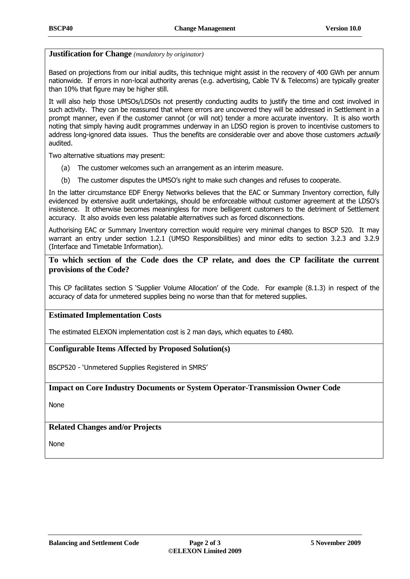#### **Justification for Change** *(mandatory by originator)*

Based on projections from our initial audits, this technique might assist in the recovery of 400 GWh per annum nationwide. If errors in non-local authority arenas (e.g. advertising, Cable TV & Telecoms) are typically greater than 10% that figure may be higher still.

It will also help those UMSOs/LDSOs not presently conducting audits to justify the time and cost involved in such activity. They can be reassured that where errors are uncovered they will be addressed in Settlement in a prompt manner, even if the customer cannot (or will not) tender a more accurate inventory. It is also worth noting that simply having audit programmes underway in an LDSO region is proven to incentivise customers to address long-ignored data issues. Thus the benefits are considerable over and above those customers actually audited.

Two alternative situations may present:

- (a) The customer welcomes such an arrangement as an interim measure.
- (b) The customer disputes the UMSO's right to make such changes and refuses to cooperate.

In the latter circumstance EDF Energy Networks believes that the EAC or Summary Inventory correction, fully evidenced by extensive audit undertakings, should be enforceable without customer agreement at the LDSO's insistence. It otherwise becomes meaningless for more belligerent customers to the detriment of Settlement accuracy. It also avoids even less palatable alternatives such as forced disconnections.

Authorising EAC or Summary Inventory correction would require very minimal changes to BSCP 520. It may warrant an entry under section 1.2.1 (UMSO Responsibilities) and minor edits to section 3.2.3 and 3.2.9 (Interface and Timetable Information).

## **To which section of the Code does the CP relate, and does the CP facilitate the current provisions of the Code?**

This CP facilitates section S 'Supplier Volume Allocation' of the Code. For example (8.1.3) in respect of the accuracy of data for unmetered supplies being no worse than that for metered supplies.

#### **Estimated Implementation Costs**

The estimated ELEXON implementation cost is 2 man days, which equates to £480.

## **Configurable Items Affected by Proposed Solution(s)**

BSCP520 - 'Unmetered Supplies Registered in SMRS'

#### **Impact on Core Industry Documents or System Operator-Transmission Owner Code**

None

## **Related Changes and/or Projects**

None